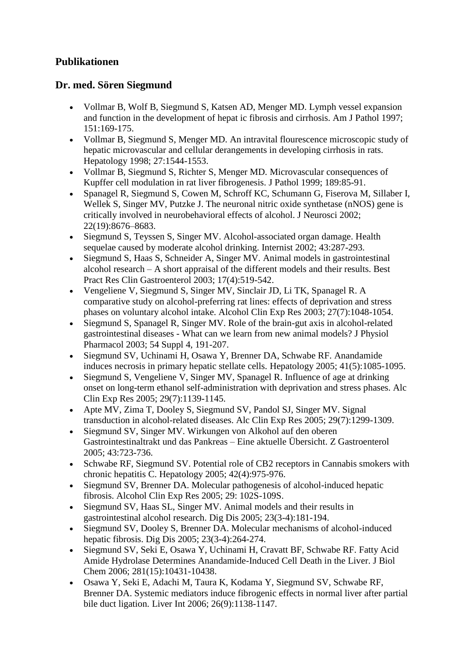## **Publikationen**

## **Dr. med. Sören Siegmund**

- Vollmar B, Wolf B, Siegmund S, Katsen AD, Menger MD. Lymph vessel expansion and function in the development of hepat ic fibrosis and cirrhosis. Am J Pathol 1997; 151:169-175.
- Vollmar B, Siegmund S, Menger MD. An intravital flourescence microscopic study of hepatic microvascular and cellular derangements in developing cirrhosis in rats. Hepatology 1998; 27:1544-1553.
- Vollmar B, Siegmund S, Richter S, Menger MD. Microvascular consequences of Kupffer cell modulation in rat liver fibrogenesis. J Pathol 1999; 189:85-91.
- Spanagel R, Siegmund S, Cowen M, Schroff KC, Schumann G, Fiserova M, Sillaber I, Wellek S, Singer MV, Putzke J. The neuronal nitric oxide synthetase (nNOS) gene is critically involved in neurobehavioral effects of alcohol. J Neurosci 2002; 22(19):8676–8683.
- Siegmund S, Teyssen S, Singer MV. Alcohol-associated organ damage. Health sequelae caused by moderate alcohol drinking. Internist 2002; 43:287-293.
- Siegmund S, Haas S, Schneider A, Singer MV. Animal models in gastrointestinal alcohol research – A short appraisal of the different models and their results. Best Pract Res Clin Gastroenterol 2003; 17(4):519-542.
- Vengeliene V, Siegmund S, Singer MV, Sinclair JD, Li TK, Spanagel R. A comparative study on alcohol-preferring rat lines: effects of deprivation and stress phases on voluntary alcohol intake. Alcohol Clin Exp Res 2003; 27(7):1048-1054.
- Siegmund S, Spanagel R, Singer MV. Role of the brain-gut axis in alcohol-related gastrointestinal diseases - What can we learn from new animal models? J Physiol Pharmacol 2003; 54 Suppl 4, 191-207.
- Siegmund SV, Uchinami H, Osawa Y, Brenner DA, Schwabe RF. Anandamide induces necrosis in primary hepatic stellate cells. Hepatology 2005; 41(5):1085-1095.
- Siegmund S, Vengeliene V, Singer MV, Spanagel R. Influence of age at drinking onset on long-term ethanol self-administration with deprivation and stress phases. Alc Clin Exp Res 2005; 29(7):1139-1145.
- Apte MV, Zima T, Dooley S, Siegmund SV, Pandol SJ, Singer MV. Signal transduction in alcohol-related diseases. Alc Clin Exp Res 2005; 29(7):1299-1309.
- Siegmund SV, Singer MV. Wirkungen von Alkohol auf den oberen Gastrointestinaltrakt und das Pankreas – Eine aktuelle Übersicht. Z Gastroenterol 2005; 43:723-736.
- Schwabe RF, Siegmund SV. Potential role of CB2 receptors in Cannabis smokers with chronic hepatitis C. Hepatology 2005; 42(4):975-976.
- Siegmund SV, Brenner DA. Molecular pathogenesis of alcohol-induced hepatic fibrosis. Alcohol Clin Exp Res 2005; 29: 102S-109S.
- Siegmund SV, Haas SL, Singer MV. Animal models and their results in gastrointestinal alcohol research. Dig Dis 2005; 23(3-4):181-194.
- Siegmund SV, Dooley S, Brenner DA. Molecular mechanisms of alcohol-induced hepatic fibrosis. Dig Dis 2005; 23(3-4):264-274.
- Siegmund SV, Seki E, Osawa Y, Uchinami H, Cravatt BF, Schwabe RF. Fatty Acid Amide Hydrolase Determines Anandamide-Induced Cell Death in the Liver. J Biol Chem 2006; 281(15):10431-10438.
- Osawa Y, Seki E, Adachi M, Taura K, Kodama Y, Siegmund SV, Schwabe RF, Brenner DA. Systemic mediators induce fibrogenic effects in normal liver after partial bile duct ligation. Liver Int 2006; 26(9):1138-1147.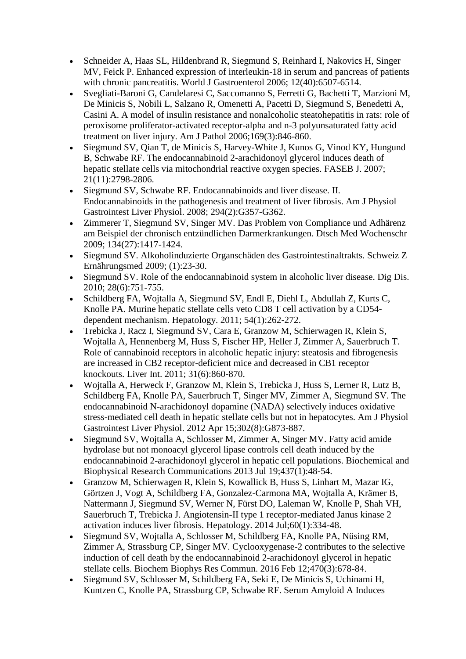- Schneider A, Haas SL, Hildenbrand R, Siegmund S, Reinhard I, Nakovics H, Singer MV, Feick P. Enhanced expression of interleukin-18 in serum and pancreas of patients with chronic pancreatitis. World J Gastroenterol 2006; 12(40):6507-6514.
- Svegliati-Baroni G, Candelaresi C, Saccomanno S, Ferretti G, Bachetti T, Marzioni M, De Minicis S, Nobili L, Salzano R, Omenetti A, Pacetti D, Siegmund S, Benedetti A, Casini A. A model of insulin resistance and nonalcoholic steatohepatitis in rats: role of peroxisome proliferator-activated receptor-alpha and n-3 polyunsaturated fatty acid treatment on liver injury. Am J Pathol 2006;169(3):846-860.
- Siegmund SV, Qian T, de Minicis S, Harvey-White J, Kunos G, Vinod KY, Hungund B, Schwabe RF. The endocannabinoid 2-arachidonoyl glycerol induces death of hepatic stellate cells via mitochondrial reactive oxygen species. FASEB J. 2007; 21(11):2798-2806.
- Siegmund SV, Schwabe RF. Endocannabinoids and liver disease. II. Endocannabinoids in the pathogenesis and treatment of liver fibrosis. Am J Physiol Gastrointest Liver Physiol. 2008; 294(2):G357-G362.
- Zimmerer T, Siegmund SV, Singer MV. Das Problem von Compliance und Adhärenz am Beispiel der chronisch entzündlichen Darmerkrankungen. Dtsch Med Wochenschr 2009; 134(27):1417-1424.
- Siegmund SV. Alkoholinduzierte Organschäden des Gastrointestinaltrakts. Schweiz Z Ernährungsmed 2009; (1):23-30.
- Siegmund SV. Role of the endocannabinoid system in alcoholic liver disease. Dig Dis. 2010; 28(6):751-755.
- Schildberg FA, Wojtalla A, Siegmund SV, Endl E, Diehl L, Abdullah Z, Kurts C, Knolle PA. Murine hepatic stellate cells veto CD8 T cell activation by a CD54 dependent mechanism. Hepatology. 2011; 54(1):262-272.
- Trebicka J, Racz I, Siegmund SV, Cara E, Granzow M, Schierwagen R, Klein S, Wojtalla A, Hennenberg M, Huss S, Fischer HP, Heller J, Zimmer A, Sauerbruch T. Role of cannabinoid receptors in alcoholic hepatic injury: steatosis and fibrogenesis are increased in CB2 receptor-deficient mice and decreased in CB1 receptor knockouts. Liver Int. 2011; 31(6):860-870.
- Wojtalla A, Herweck F, Granzow M, Klein S, Trebicka J, Huss S, Lerner R, Lutz B, Schildberg FA, Knolle PA, Sauerbruch T, Singer MV, Zimmer A, Siegmund SV. The endocannabinoid N-arachidonoyl dopamine (NADA) selectively induces oxidative stress-mediated cell death in hepatic stellate cells but not in hepatocytes. Am J Physiol Gastrointest Liver Physiol. 2012 Apr 15;302(8):G873-887.
- Siegmund SV, Wojtalla A, Schlosser M, Zimmer A, Singer MV. Fatty acid amide hydrolase but not monoacyl glycerol lipase controls cell death induced by the endocannabinoid 2-arachidonoyl glycerol in hepatic cell populations. Biochemical and Biophysical Research Communications 2013 Jul 19;437(1):48-54.
- Granzow M, Schierwagen R, Klein S, Kowallick B, Huss S, Linhart M, Mazar IG, Görtzen J, Vogt A, Schildberg FA, Gonzalez-Carmona MA, Wojtalla A, Krämer B, Nattermann J, Siegmund SV, Werner N, Fürst DO, Laleman W, Knolle P, Shah VH, Sauerbruch T, Trebicka J. Angiotensin-II type 1 receptor-mediated Janus kinase 2 activation induces liver fibrosis. Hepatology. 2014 Jul;60(1):334-48.
- Siegmund SV, Wojtalla A, Schlosser M, Schildberg FA, Knolle PA, Nüsing RM, Zimmer A, Strassburg CP, Singer MV. Cyclooxygenase-2 contributes to the selective induction of cell death by the endocannabinoid 2-arachidonoyl glycerol in hepatic stellate cells. Biochem Biophys Res Commun. 2016 Feb 12;470(3):678-84.
- Siegmund SV, Schlosser M, Schildberg FA, Seki E, De Minicis S, Uchinami H, Kuntzen C, Knolle PA, Strassburg CP, Schwabe RF. Serum Amyloid A Induces